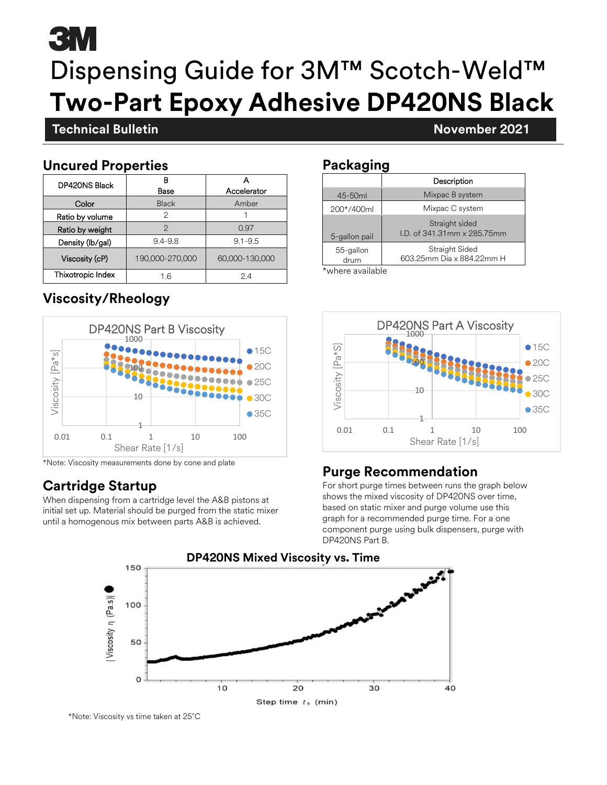# **3 M** Dispensing Guide for 3M™ Scotch-Weld™ **Two-Part Epoxy Adhesive DP420NS Black**

# **Technical Bulletin November 2021**

### **November 2021 Uncured Properties**

| <b>DP420NS Black</b> | в<br>Base       | Accelerator    |  |
|----------------------|-----------------|----------------|--|
| Color                | <b>Black</b>    | Amber          |  |
| Ratio by volume      | 2               |                |  |
| Ratio by weight      | 2               | 0.97           |  |
| Density (lb/gal)     | $9.4 - 9.8$     | $9.1 - 9.5$    |  |
| Viscosity (cP)       | 190,000-270,000 | 60,000-130,000 |  |
| Thixotropic Index    | 16              | 24             |  |

# **Viscosity/Rheology**



\*Note: Viscosity measurements done by cone and plate

# **Cartridge Startup**

When dispensing from a cartridge level the A&B pistons at initial set up. Material should be purged from the static mixer until a homogenous mix between parts A&B is achieved.

### **Packaging**

|                   | Description                                  |  |
|-------------------|----------------------------------------------|--|
| 45-50ml           | Mixpac B system                              |  |
| 200*/400ml        | Mixpac C system                              |  |
| 5-gallon pail     | Straight sided<br>LD, of 341,31mm x 285,75mm |  |
| 55-gallon<br>drum | Straight Sided<br>603.25mm Dia x 884.22mm H  |  |

\*where available



## **Purge Recommendation**

For short purge times between runs the graph below shows the mixed viscosity of DP420NS over time, based on static mixer and purge volume use this graph for a recommended purge time. For a one component purge using bulk dispensers, purge with DP420NS Part B.



\*Note: Viscosity vs time taken at 25˚C